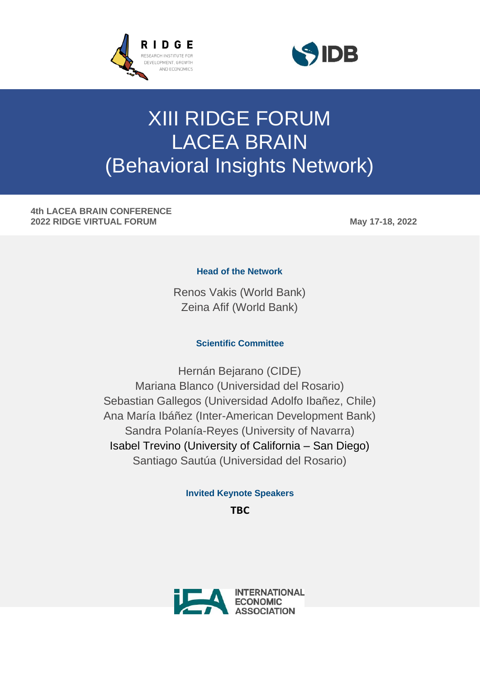



# XIII RIDGE FORUM LACEA BRAIN (Behavioral Insights Network)

**4th LACEA BRAIN CONFERENCE 2022 RIDGE VIRTUAL FORUM May 17-18, 2022**

#### **Head of the Network**

Renos Vakis (World Bank) Zeina Afif (World Bank)

### **Scientific Committee**

Hernán Bejarano (CIDE) Mariana Blanco (Universidad del Rosario) Sebastian Gallegos (Universidad Adolfo Ibañez, Chile) Ana María Ibáñez (Inter-American Development Bank) Sandra Polanía-Reyes (University of Navarra) Isabel Trevino (University of California – San Diego) Santiago Sautúa (Universidad del Rosario)

## **Invited Keynote Speakers**

**TBC**

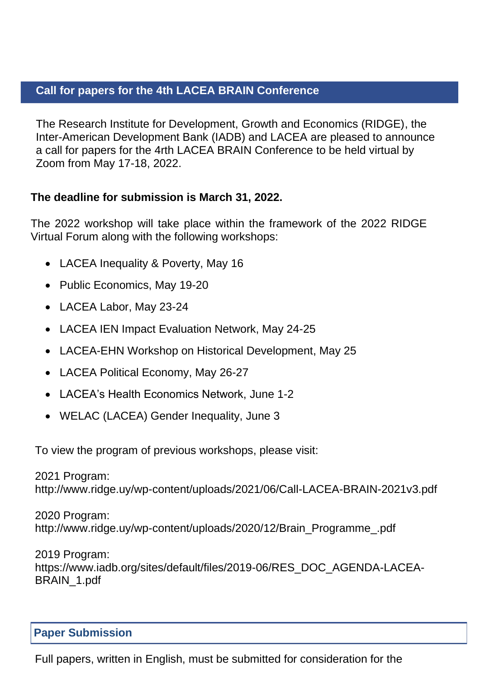## **Call for papers for the 4th LACEA BRAIN Conference**

The Research Institute for Development, Growth and Economics (RIDGE), the Inter-American Development Bank (IADB) and LACEA are pleased to announce a call for papers for the 4rth LACEA BRAIN Conference to be held virtual by Zoom from May 17-18, 2022.

## **The deadline for submission is March 31, 2022.**

The 2022 workshop will take place within the framework of the 2022 RIDGE Virtual Forum along with the following workshops:

- LACEA Inequality & Poverty, May 16
- Public Economics, May 19-20
- LACEA Labor, May 23-24
- LACEA IEN Impact Evaluation Network, May 24-25
- LACEA-EHN Workshop on Historical Development, May 25
- LACEA Political Economy, May 26-27
- LACEA's Health Economics Network, June 1-2
- WELAC (LACEA) Gender Inequality, June 3

To view the program of previous workshops, please visit:

2021 Program: <http://www.ridge.uy/wp-content/uploads/2021/06/Call-LACEA-BRAIN-2021v3.pdf>

2020 Program: [http://www.ridge.uy/wp-content/uploads/2020/12/Brain\\_Programme\\_.pdf](http://www.ridge.uy/wp-content/uploads/2020/12/Brain_Programme_.pdf)

2019 Program: [https://www.iadb.org/sites/default/files/2019-06/RES\\_DOC\\_AGENDA-LACEA-](https://www.iadb.org/sites/default/files/2019-06/RES_DOC_AGENDA-LACEA-BRAIN_1.pdf)[BRAIN\\_1.pdf](https://www.iadb.org/sites/default/files/2019-06/RES_DOC_AGENDA-LACEA-BRAIN_1.pdf)

# **Paper Submission**

Full papers, written in English, must be submitted for consideration for the